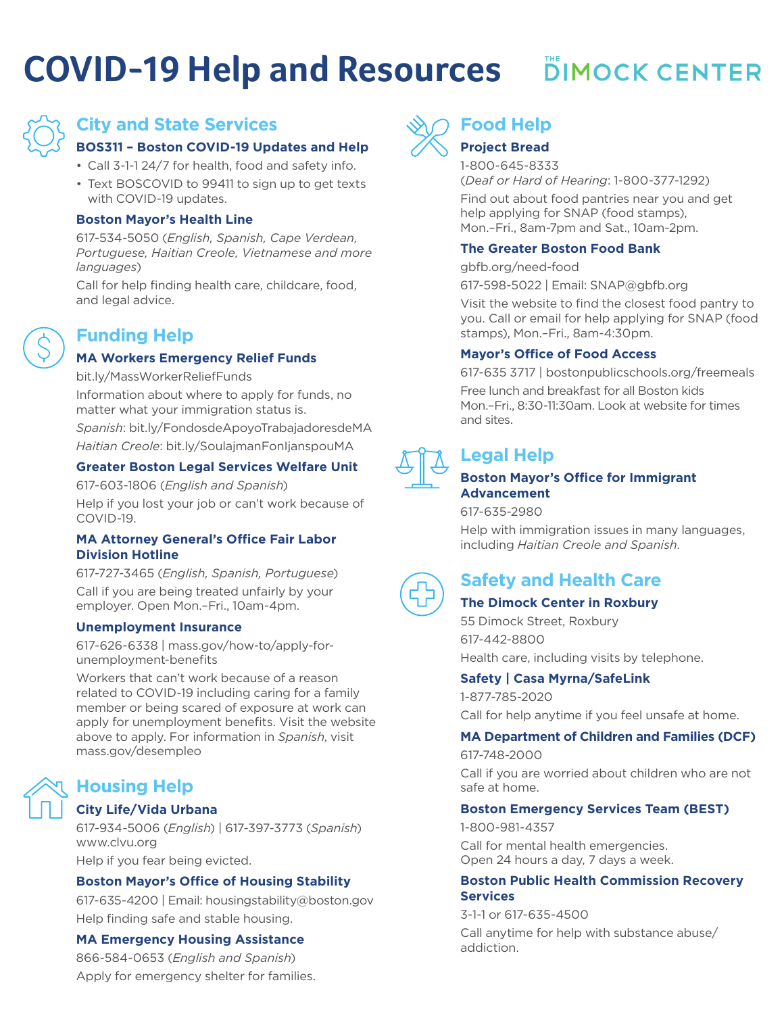# **COVID-19 Help and Resources**

# **DIMOCK CENTER**



# **City and State Services**

#### **BOS311 – Boston COVID-19 Updates and Help**

- Call 3-1-1 24/7 for health, food and safety info.
- Text BOSCOVID to 99411 to sign up to get texts with COVID-19 updates.

#### **Boston Mayor's Health Line**

617-534-5050 (*English, Spanish, Cape Verdean, Portuguese, Haitian Creole, Vietnamese and more languages*)

Call for help finding health care, childcare, food, and legal advice.

# **Funding Help**

#### **MA Workers Emergency Relief Funds**

bit.ly/MassWorkerReliefFunds

Information about where to apply for funds, no matter what your immigration status is.

*Spanish*: bit.ly/FondosdeApoyoTrabajadoresdeMA *Haitian Creole*: bit.ly/SoulajmanFonIjanspouMA

#### **Greater Boston Legal Services Welfare Unit**

617-603-1806 (*English and Spanish*)

Help if you lost your job or can't work because of COVID-19.

#### **MA Attorney General's Office Fair Labor Division Hotline**

617-727-3465 (*English, Spanish, Portuguese*) Call if you are being treated unfairly by your employer. Open Mon.–Fri., 10am-4pm.

#### **Unemployment Insurance**

617-626-6338 | mass.gov/how-to/apply-forunemployment-benefits

Workers that can't work because of a reason related to COVID-19 including caring for a family member or being scared of exposure at work can apply for unemployment benefits. Visit the website above to apply. For information in *Spanish*, visit mass.gov/desempleo

# **Housing Help**

#### **City Life/Vida Urbana**

617-934-5006 (*English*) | 617-397-3773 (*Spanish*) www.clvu.org Help if you fear being evicted.

#### **Boston Mayor's Office of Housing Stability**

617-635-4200 | Email: housingstability@boston.gov Help finding safe and stable housing.

#### **MA Emergency Housing Assistance**

866-584-0653 (*English and Spanish*) Apply for emergency shelter for families.



# **Food Help**

### **Project Bread**

1-800-645-8333

(*Deaf or Hard of Hearing*: 1-800-377-1292)

Find out about food pantries near you and get help applying for SNAP (food stamps), Mon.–Fri., 8am-7pm and Sat., 10am-2pm.

#### **The Greater Boston Food Bank**

gbfb.org/need-food

617-598-5022 | Email: SNAP@gbfb.org

Visit the website to find the closest food pantry to you. Call or email for help applying for SNAP (food stamps), Mon.–Fri., 8am-4:30pm.

#### **Mayor's Office of Food Access**

617-635 3717 | bostonpublicschools.org/freemeals Free lunch and breakfast for all Boston kids Mon.–Fri., 8:30-11:30am. Look at website for times and sites.



# **Legal Help**

#### **Boston Mayor's Office for Immigrant Advancement**

617-635-2980

Help with immigration issues in many languages, including *Haitian Creole and Spanish*.



# **Safety and Health Care**

#### **The Dimock Center in Roxbury**

55 Dimock Street, Roxbury 617-442-8800 Health care, including visits by telephone.

#### **Safety | Casa Myrna/SafeLink**

1-877-785-2020 Call for help anytime if you feel unsafe at home.

#### **MA Department of Children and Families (DCF)**

617-748-2000 Call if you are worried about children who are not safe at home.

#### **Boston Emergency Services Team (BEST)**

1-800-981-4357 Call for mental health emergencies. Open 24 hours a day, 7 days a week.

#### **Boston Public Health Commission Recovery Services**

3-1-1 or 617-635-4500 Call anytime for help with substance abuse/ addiction.